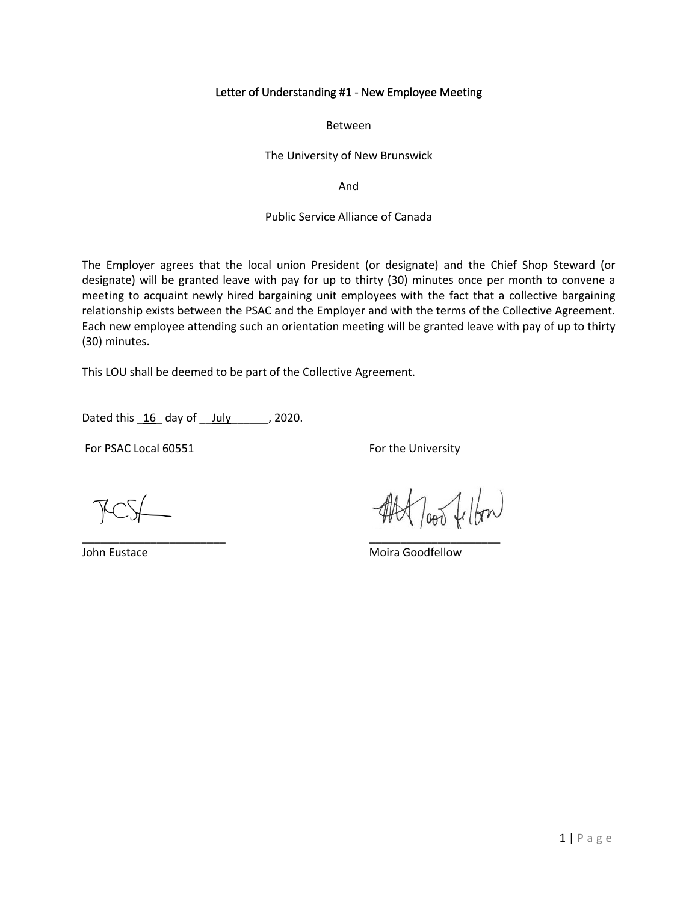#### Letter of Understanding #1 - New Employee Meeting

Between

The University of New Brunswick

And

## Public Service Alliance of Canada

The Employer agrees that the local union President (or designate) and the Chief Shop Steward (or designate) will be granted leave with pay for up to thirty (30) minutes once per month to convene a meeting to acquaint newly hired bargaining unit employees with the fact that a collective bargaining relationship exists between the PSAC and the Employer and with the terms of the Collective Agreement. Each new employee attending such an orientation meeting will be granted leave with pay of up to thirty (30) minutes.

This LOU shall be deemed to be part of the Collective Agreement.

Dated this  $16$  day of  $\frac{July}{July}$ , 2020.

For PSAC Local 60551 For the University

\_\_\_\_\_\_\_\_\_\_\_\_\_\_\_\_\_\_\_\_\_\_\_ \_\_\_\_\_\_\_\_\_\_\_\_\_\_\_\_\_\_\_\_\_

John Eustace **Moira Goodfellow** Moira Goodfellow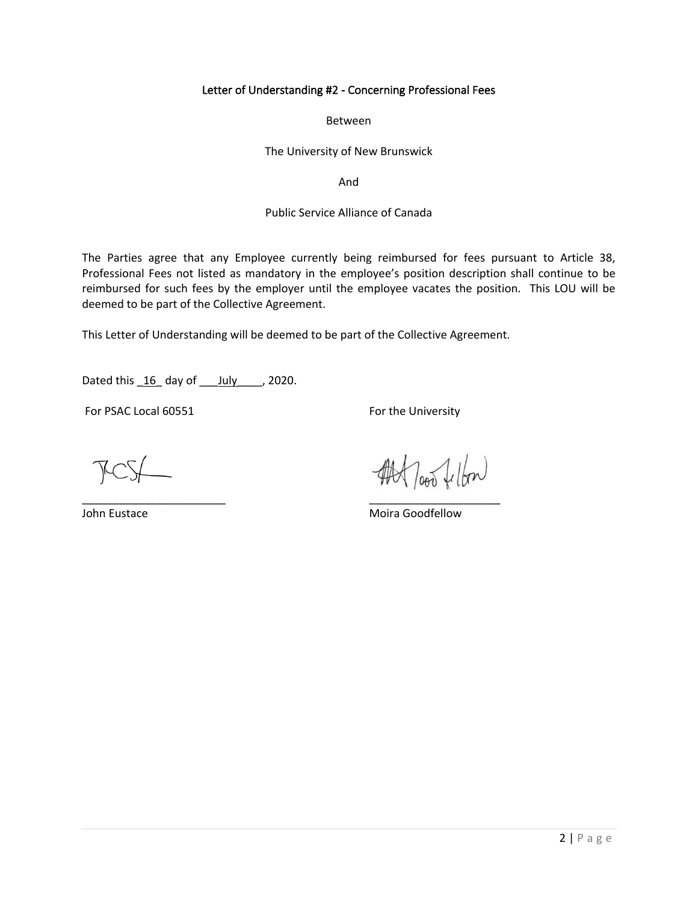## Letter of Understanding #2 - Concerning Professional Fees

Between

The University of New Brunswick

And

#### Public Service Alliance of Canada

The Parties agree that any Employee currently being reimbursed for fees pursuant to Article 38, Professional Fees not listed as mandatory in the employee's position description shall continue to be reimbursed for such fees by the employer until the employee vacates the position. This LOU will be deemed to be part of the Collective Agreement.

This Letter of Understanding will be deemed to be part of the Collective Agreement.

\_\_\_\_\_\_\_\_\_\_\_\_\_\_\_\_\_\_\_\_\_\_\_ \_\_\_\_\_\_\_\_\_\_\_\_\_\_\_\_\_\_\_\_\_

Dated this  $16$  day of July  $\qquad$ , 2020.

For PSAC Local 60551 For the University

loop fellow

John Eustace **Moira Goodfellow** Moira Goodfellow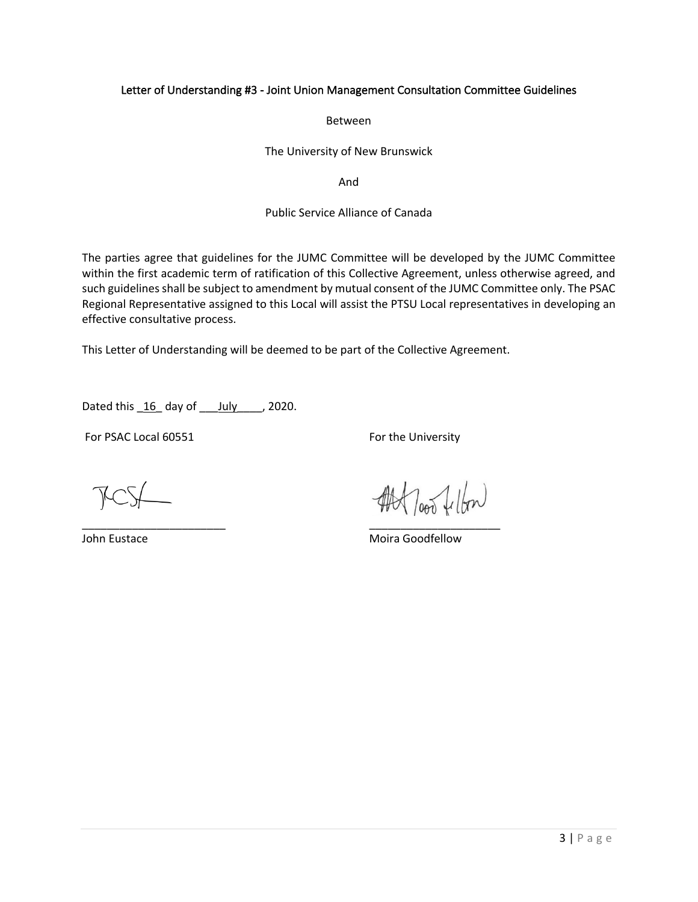# Letter of Understanding #3 - Joint Union Management Consultation Committee Guidelines

Between

The University of New Brunswick

And

## Public Service Alliance of Canada

The parties agree that guidelines for the JUMC Committee will be developed by the JUMC Committee within the first academic term of ratification of this Collective Agreement, unless otherwise agreed, and such guidelines shall be subject to amendment by mutual consent of the JUMC Committee only. The PSAC Regional Representative assigned to this Local will assist the PTSU Local representatives in developing an effective consultative process.

This Letter of Understanding will be deemed to be part of the Collective Agreement.

\_\_\_\_\_\_\_\_\_\_\_\_\_\_\_\_\_\_\_\_\_\_\_ \_\_\_\_\_\_\_\_\_\_\_\_\_\_\_\_\_\_\_\_\_

Dated this  $16$  day of  $_l$  July  $_l$ , 2020.

For PSAC Local 60551 For the University

loop fellon

John Eustace **Moira Goodfellow** Moira Goodfellow